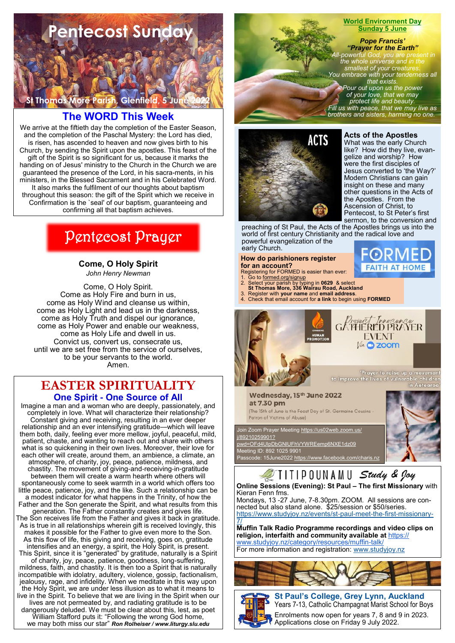

## **The WORD This Week**

We arrive at the fiftieth day the completion of the Easter Season, and the completion of the Paschal Mystery: the Lord has died, is risen, has ascended to heaven and now gives birth to his Church, by sending the Spirit upon the apostles. This feast of the gift of the Spirit is so significant for us, because it marks the handing on of Jesus' ministry to the Church in the Church we are guaranteed the presence of the Lord, in his sacra-ments, in his ministers, in the Blessed Sacrament and in his Celebrated Word. It also marks the fulfilment of our thoughts about baptism throughout this season: the gift of the Spirit which we receive in Confirmation is the `seal' of our baptism, guaranteeing and confirming all that baptism achieves.

# Pentecost Prayer

**Come, O Holy Spirit**  *John Henry Newman*

Come, O Holy Spirit. Come as Holy Fire and burn in us, come as Holy Wind and cleanse us within, come as Holy Light and lead us in the darkness, come as Holy Truth and dispel our ignorance, come as Holy Power and enable our weakness, come as Holy Life and dwell in us. Convict us, convert us, consecrate us, until we are set free from the service of ourselves, to be your servants to the world. Amen.

## **EASTER SPIRITUALITY One Spirit - One Source of All**

Imagine a man and a woman who are deeply, passionately, and completely in love. What will characterize their relationship? Constant giving and receiving, resulting in an ever deeper relationship and an ever intensifying gratitude—which will leave them both, daily, feeling ever more mellow, joyful, peaceful, mild, patient, chaste, and wanting to reach out and share with others what is so quickening in their own lives. Moreover, their love for each other will create, around them, an ambience, a climate, an atmosphere, of charity, joy, peace, patience, mildness, and chastity. The movement of giving-and-receiving-in-gratitude between them will create a warm hearth where others will spontaneously come to seek warmth in a world which offers too little peace, patience, joy, and the like. Such a relationship can be a modest indicator for what happens in the Trinity, of how the Father and the Son generate the Spirit, and what results from this generation. The Father constantly creates and gives life. The Son receives life from the Father and gives it back in gratitude. As is true in all relationships wherein gift is received lovingly, this makes it possible for the Father to give even more to the Son. As this flow of life, this giving and receiving, goes on, gratitude intensifies and an energy, a spirit, the Holy Spirit, is present. This Spirit, since it is "generated" by gratitude, naturally is a Spirit of charity, joy, peace, patience, goodness, long-suffering, mildness, faith, and chastity. It is then too a Spirit that is naturally incompatible with idolatry, adultery, violence, gossip, factionalism, jealousy, rage, and infidelity. When we meditate in this way upon the Holy Spirit, we are under less illusion as to what it means to live in the Spirit. To believe that we are living in the Spirit when our lives are not permeated by, and radiating gratitude is to be dangerously deluded. We must be clear about this, lest, as poet William Stafford puts it: "Following the wrong God home, we may both miss our star" *Ron Rolheiser / www.liturgy.slu.edu*



#### **World Environment Day Sunday 5 June**

*Pope Francis' "Prayer for the Earth" All-powerful God, you are present in the whole universe and in the smallest of your creatures. You embrace with your tenderness all that exists. Pour out upon us the power of your love, that we may protect life and beauty. Fill us with peace, that we may live as brothers and sisters, harming no one.*



**Acts of the Apostles**

What was the early Church like? How did they live, evangelize and worship? How were the first disciples of Jesus converted to 'the Way?' Modern Christians can gain insight on these and many other questions in the Acts of the Apostles. From the Ascension of Christ, to Pentecost, to St Peter's first sermon, to the conversion and

preaching of St Paul, the Acts of the Apostles brings us into the world of first century Christianity and the radical love and powerful evangelization of the early Church.

## **How do parishioners register**

- **for an account?** Registering for FORMED is easier than ever:
- 1. Go to formed.org/signup 2. Select your parish by typing in **0629** & select **St Thomas More, 336 Wairau Road, Auckland** 3. Register with **your name** and **email address**.
- 
- 4. Check that email account for **a link** to begin using **FORMED**



Prayer to raise up a movement<br>to improve the lives of vulnerable children in Aotearod

Wednesday, 15<sup>th</sup> June 2022 at 7.30 pm

(The 15th of June is the Feast Day of St. Germaine Cousins Patron of Victims of Abuse)

code: 15June2022 <u>https://www.facebook.com/charis.nz</u>

oin Zoom Prayer Meeting <u>https://us02web.zoom.us/</u> 89210259901? [pwd=OFd4UlpDbGNlUFhVYWREemp6NXE1dz09](https://us02web.zoom.us/j/89210259901?pwd=OFd4UlpDbGNlUFhVYWREemp6NXE1dz09) Meeting ID: 892 1025 9901



# JIIIIPOUNAMU Study & Joy

#### **Online Sessions (Evening): St Paul – The first Missionary** with Kieran Fenn fms.

Mondays, 13 -27 June, 7-8.30pm. ZOOM. All sessions are connected but also stand alone. \$25/session or \$50/series. [https://www.studyjoy.nz/events/st-paul-meet-the-first-missionary-](https://www.studyjoy.nz/events/st-paul-meet-the-first-missionary-7/)[7/](https://www.studyjoy.nz/events/st-paul-meet-the-first-missionary-7/)

**Muffin Talk Radio Programme recordings and video clips on religion, interfaith and community available at** [https://](https://www.studyjoy.nz/category/resources/muffin-talk/) [www.studyjoy.nz/category/resources/muffin-talk/](https://www.studyjoy.nz/category/resources/muffin-talk/) For more information and registration: [www.studyjoy.nz](http://www.studyjoy.nz/)





**St Paul's College, Grey Lynn, Auckland**  Years 7-13, Catholic Champagnat Marist School for Boys

Enrolments now open for years 7, 8 and 9 in 2023. Applications close on Friday 9 July 2022.